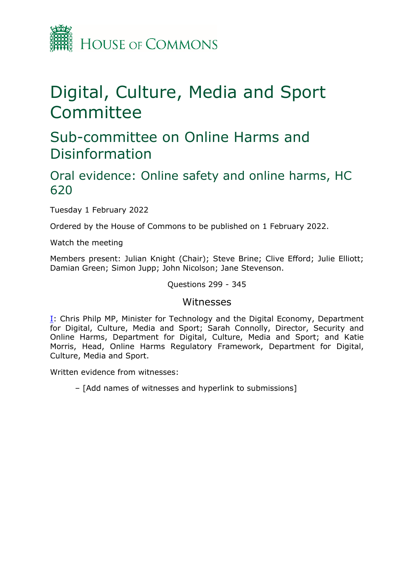

# Digital, Culture, Media and Sport Committee

## Sub-committee on Online Harms and Disinformation

## Oral evidence: Online safety and online harms, HC 620

Tuesday 1 February 2022

Ordered by the House of Commons to be published on 1 February 2022.

Watch the meeting

Members present: Julian Knight (Chair); Steve Brine; Clive Efford; Julie Elliott; Damian Green; Simon Jupp; John Nicolson; Jane Stevenson.

Questions 299 - 345

#### Witnesses

[I:](#page-1-0) Chris Philp MP, Minister for Technology and the Digital Economy, Department for Digital, Culture, Media and Sport; Sarah Connolly, Director, Security and Online Harms, Department for Digital, Culture, Media and Sport; and Katie Morris, Head, Online Harms Regulatory Framework, Department for Digital, Culture, Media and Sport.

Written evidence from witnesses:

– [Add names of witnesses and hyperlink to submissions]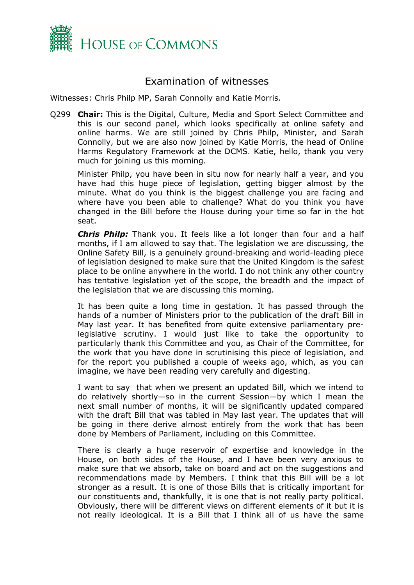

### <span id="page-1-0"></span>Examination of witnesses

Witnesses: Chris Philp MP, Sarah Connolly and Katie Morris.

Q299 **Chair:** This is the Digital, Culture, Media and Sport Select Committee and this is our second panel, which looks specifically at online safety and online harms. We are still joined by Chris Philp, Minister, and Sarah Connolly, but we are also now joined by Katie Morris, the head of Online Harms Regulatory Framework at the DCMS. Katie, hello, thank you very much for joining us this morning.

Minister Philp, you have been in situ now for nearly half a year, and you have had this huge piece of legislation, getting bigger almost by the minute. What do you think is the biggest challenge you are facing and where have you been able to challenge? What do you think you have changed in the Bill before the House during your time so far in the hot seat.

*Chris Philp:* Thank you. It feels like a lot longer than four and a half months, if I am allowed to say that. The legislation we are discussing, the Online Safety Bill, is a genuinely ground-breaking and world-leading piece of legislation designed to make sure that the United Kingdom is the safest place to be online anywhere in the world. I do not think any other country has tentative legislation yet of the scope, the breadth and the impact of the legislation that we are discussing this morning.

It has been quite a long time in gestation. It has passed through the hands of a number of Ministers prior to the publication of the draft Bill in May last year. It has benefited from quite extensive parliamentary prelegislative scrutiny. I would just like to take the opportunity to particularly thank this Committee and you, as Chair of the Committee, for the work that you have done in scrutinising this piece of legislation, and for the report you published a couple of weeks ago, which, as you can imagine, we have been reading very carefully and digesting.

I want to say that when we present an updated Bill, which we intend to do relatively shortly—so in the current Session—by which I mean the next small number of months, it will be significantly updated compared with the draft Bill that was tabled in May last year. The updates that will be going in there derive almost entirely from the work that has been done by Members of Parliament, including on this Committee.

There is clearly a huge reservoir of expertise and knowledge in the House, on both sides of the House, and I have been very anxious to make sure that we absorb, take on board and act on the suggestions and recommendations made by Members. I think that this Bill will be a lot stronger as a result. It is one of those Bills that is critically important for our constituents and, thankfully, it is one that is not really party political. Obviously, there will be different views on different elements of it but it is not really ideological. It is a Bill that I think all of us have the same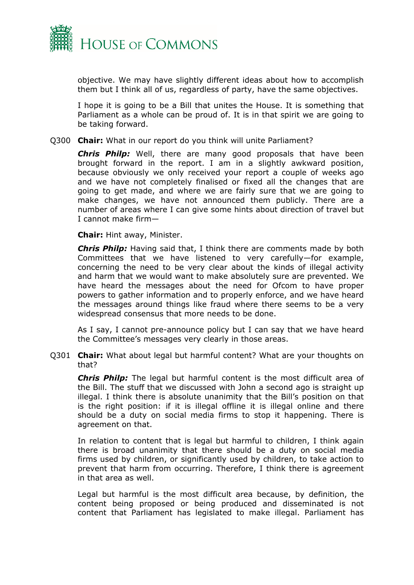

objective. We may have slightly different ideas about how to accomplish them but I think all of us, regardless of party, have the same objectives.

I hope it is going to be a Bill that unites the House. It is something that Parliament as a whole can be proud of. It is in that spirit we are going to be taking forward.

Q300 **Chair:** What in our report do you think will unite Parliament?

*Chris Philp:* Well, there are many good proposals that have been brought forward in the report. I am in a slightly awkward position, because obviously we only received your report a couple of weeks ago and we have not completely finalised or fixed all the changes that are going to get made, and where we are fairly sure that we are going to make changes, we have not announced them publicly. There are a number of areas where I can give some hints about direction of travel but I cannot make firm—

**Chair:** Hint away, Minister.

*Chris Philp:* Having said that, I think there are comments made by both Committees that we have listened to very carefully—for example, concerning the need to be very clear about the kinds of illegal activity and harm that we would want to make absolutely sure are prevented. We have heard the messages about the need for Ofcom to have proper powers to gather information and to properly enforce, and we have heard the messages around things like fraud where there seems to be a very widespread consensus that more needs to be done.

As I say, I cannot pre-announce policy but I can say that we have heard the Committee's messages very clearly in those areas.

Q301 **Chair:** What about legal but harmful content? What are your thoughts on that?

*Chris Philp:* The legal but harmful content is the most difficult area of the Bill. The stuff that we discussed with John a second ago is straight up illegal. I think there is absolute unanimity that the Bill's position on that is the right position: if it is illegal offline it is illegal online and there should be a duty on social media firms to stop it happening. There is agreement on that.

In relation to content that is legal but harmful to children, I think again there is broad unanimity that there should be a duty on social media firms used by children, or significantly used by children, to take action to prevent that harm from occurring. Therefore, I think there is agreement in that area as well.

Legal but harmful is the most difficult area because, by definition, the content being proposed or being produced and disseminated is not content that Parliament has legislated to make illegal. Parliament has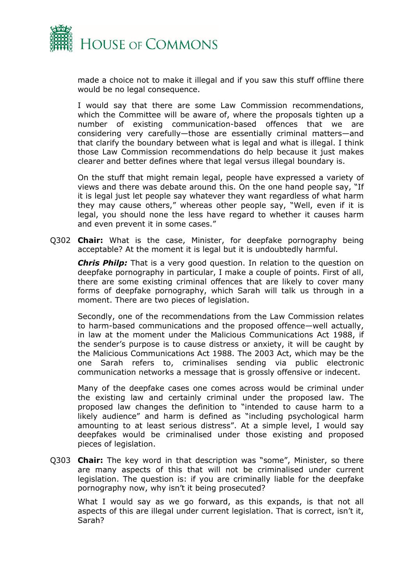

made a choice not to make it illegal and if you saw this stuff offline there would be no legal consequence.

I would say that there are some Law Commission recommendations, which the Committee will be aware of, where the proposals tighten up a number of existing communication-based offences that we are considering very carefully—those are essentially criminal matters—and that clarify the boundary between what is legal and what is illegal. I think those Law Commission recommendations do help because it just makes clearer and better defines where that legal versus illegal boundary is.

On the stuff that might remain legal, people have expressed a variety of views and there was debate around this. On the one hand people say, "If it is legal just let people say whatever they want regardless of what harm they may cause others," whereas other people say, "Well, even if it is legal, you should none the less have regard to whether it causes harm and even prevent it in some cases."

Q302 **Chair:** What is the case, Minister, for deepfake pornography being acceptable? At the moment it is legal but it is undoubtedly harmful.

*Chris Philp:* That is a very good question. In relation to the question on deepfake pornography in particular, I make a couple of points. First of all, there are some existing criminal offences that are likely to cover many forms of deepfake pornography, which Sarah will talk us through in a moment. There are two pieces of legislation.

Secondly, one of the recommendations from the Law Commission relates to harm-based communications and the proposed offence—well actually, in law at the moment under the Malicious Communications Act 1988, if the sender's purpose is to cause distress or anxiety, it will be caught by the Malicious Communications Act 1988. The 2003 Act, which may be the one Sarah refers to, criminalises sending via public electronic communication networks a message that is grossly offensive or indecent.

Many of the deepfake cases one comes across would be criminal under the existing law and certainly criminal under the proposed law. The proposed law changes the definition to "intended to cause harm to a likely audience" and harm is defined as "including psychological harm amounting to at least serious distress". At a simple level, I would say deepfakes would be criminalised under those existing and proposed pieces of legislation.

Q303 **Chair:** The key word in that description was "some", Minister, so there are many aspects of this that will not be criminalised under current legislation. The question is: if you are criminally liable for the deepfake pornography now, why isn't it being prosecuted?

What I would say as we go forward, as this expands, is that not all aspects of this are illegal under current legislation. That is correct, isn't it, Sarah?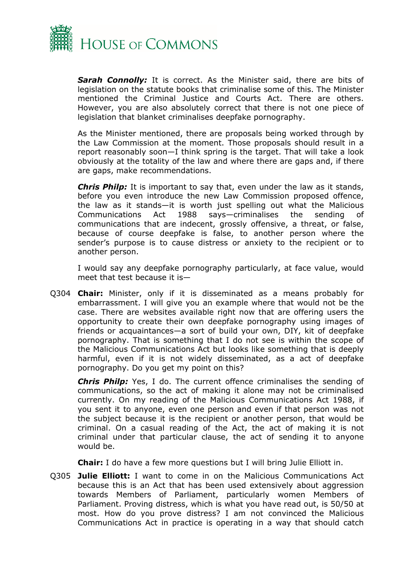

*Sarah Connolly:* It is correct. As the Minister said, there are bits of legislation on the statute books that criminalise some of this. The Minister mentioned the Criminal Justice and Courts Act. There are others. However, you are also absolutely correct that there is not one piece of legislation that blanket criminalises deepfake pornography.

As the Minister mentioned, there are proposals being worked through by the Law Commission at the moment. Those proposals should result in a report reasonably soon—I think spring is the target. That will take a look obviously at the totality of the law and where there are gaps and, if there are gaps, make recommendations.

*Chris Philp:* It is important to say that, even under the law as it stands, before you even introduce the new Law Commission proposed offence, the law as it stands—it is worth just spelling out what the Malicious Communications Act 1988 says—criminalises the sending of communications that are indecent, grossly offensive, a threat, or false, because of course deepfake is false, to another person where the sender's purpose is to cause distress or anxiety to the recipient or to another person.

I would say any deepfake pornography particularly, at face value, would meet that test because it is—

Q304 **Chair:** Minister, only if it is disseminated as a means probably for embarrassment. I will give you an example where that would not be the case. There are websites available right now that are offering users the opportunity to create their own deepfake pornography using images of friends or acquaintances—a sort of build your own, DIY, kit of deepfake pornography. That is something that I do not see is within the scope of the Malicious Communications Act but looks like something that is deeply harmful, even if it is not widely disseminated, as a act of deepfake pornography. Do you get my point on this?

*Chris Philp:* Yes, I do. The current offence criminalises the sending of communications, so the act of making it alone may not be criminalised currently. On my reading of the Malicious Communications Act 1988, if you sent it to anyone, even one person and even if that person was not the subject because it is the recipient or another person, that would be criminal. On a casual reading of the Act, the act of making it is not criminal under that particular clause, the act of sending it to anyone would be.

**Chair:** I do have a few more questions but I will bring Julie Elliott in.

Q305 **Julie Elliott:** I want to come in on the Malicious Communications Act because this is an Act that has been used extensively about aggression towards Members of Parliament, particularly women Members of Parliament. Proving distress, which is what you have read out, is 50/50 at most. How do you prove distress? I am not convinced the Malicious Communications Act in practice is operating in a way that should catch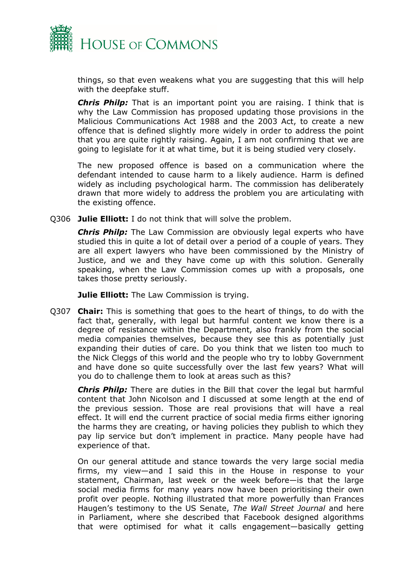

things, so that even weakens what you are suggesting that this will help with the deepfake stuff.

*Chris Philp:* That is an important point you are raising. I think that is why the Law Commission has proposed updating those provisions in the Malicious Communications Act 1988 and the 2003 Act, to create a new offence that is defined slightly more widely in order to address the point that you are quite rightly raising. Again, I am not confirming that we are going to legislate for it at what time, but it is being studied very closely.

The new proposed offence is based on a communication where the defendant intended to cause harm to a likely audience. Harm is defined widely as including psychological harm. The commission has deliberately drawn that more widely to address the problem you are articulating with the existing offence.

Q306 **Julie Elliott:** I do not think that will solve the problem.

*Chris Philp:* The Law Commission are obviously legal experts who have studied this in quite a lot of detail over a period of a couple of years. They are all expert lawyers who have been commissioned by the Ministry of Justice, and we and they have come up with this solution. Generally speaking, when the Law Commission comes up with a proposals, one takes those pretty seriously.

**Julie Elliott:** The Law Commission is trying.

Q307 **Chair:** This is something that goes to the heart of things, to do with the fact that, generally, with legal but harmful content we know there is a degree of resistance within the Department, also frankly from the social media companies themselves, because they see this as potentially just expanding their duties of care. Do you think that we listen too much to the Nick Cleggs of this world and the people who try to lobby Government and have done so quite successfully over the last few years? What will you do to challenge them to look at areas such as this?

*Chris Philp:* There are duties in the Bill that cover the legal but harmful content that John Nicolson and I discussed at some length at the end of the previous session. Those are real provisions that will have a real effect. It will end the current practice of social media firms either ignoring the harms they are creating, or having policies they publish to which they pay lip service but don't implement in practice. Many people have had experience of that.

On our general attitude and stance towards the very large social media firms, my view—and I said this in the House in response to your statement, Chairman, last week or the week before—is that the large social media firms for many years now have been prioritising their own profit over people. Nothing illustrated that more powerfully than Frances Haugen's testimony to the US Senate, *The Wall Street Journal* and here in Parliament, where she described that Facebook designed algorithms that were optimised for what it calls engagement—basically getting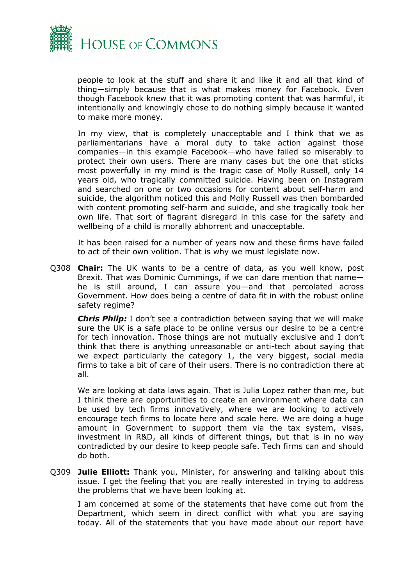

people to look at the stuff and share it and like it and all that kind of thing—simply because that is what makes money for Facebook. Even though Facebook knew that it was promoting content that was harmful, it intentionally and knowingly chose to do nothing simply because it wanted to make more money.

In my view, that is completely unacceptable and I think that we as parliamentarians have a moral duty to take action against those companies—in this example Facebook—who have failed so miserably to protect their own users. There are many cases but the one that sticks most powerfully in my mind is the tragic case of Molly Russell, only 14 years old, who tragically committed suicide. Having been on Instagram and searched on one or two occasions for content about self-harm and suicide, the algorithm noticed this and Molly Russell was then bombarded with content promoting self-harm and suicide, and she tragically took her own life. That sort of flagrant disregard in this case for the safety and wellbeing of a child is morally abhorrent and unacceptable.

It has been raised for a number of years now and these firms have failed to act of their own volition. That is why we must legislate now.

Q308 **Chair:** The UK wants to be a centre of data, as you well know, post Brexit. That was Dominic Cummings, if we can dare mention that name he is still around, I can assure you—and that percolated across Government. How does being a centre of data fit in with the robust online safety regime?

*Chris Philp:* I don't see a contradiction between saying that we will make sure the UK is a safe place to be online versus our desire to be a centre for tech innovation. Those things are not mutually exclusive and I don't think that there is anything unreasonable or anti-tech about saying that we expect particularly the category 1, the very biggest, social media firms to take a bit of care of their users. There is no contradiction there at all.

We are looking at data laws again. That is Julia Lopez rather than me, but I think there are opportunities to create an environment where data can be used by tech firms innovatively, where we are looking to actively encourage tech firms to locate here and scale here. We are doing a huge amount in Government to support them via the tax system, visas, investment in R&D, all kinds of different things, but that is in no way contradicted by our desire to keep people safe. Tech firms can and should do both.

Q309 **Julie Elliott:** Thank you, Minister, for answering and talking about this issue. I get the feeling that you are really interested in trying to address the problems that we have been looking at.

I am concerned at some of the statements that have come out from the Department, which seem in direct conflict with what you are saying today. All of the statements that you have made about our report have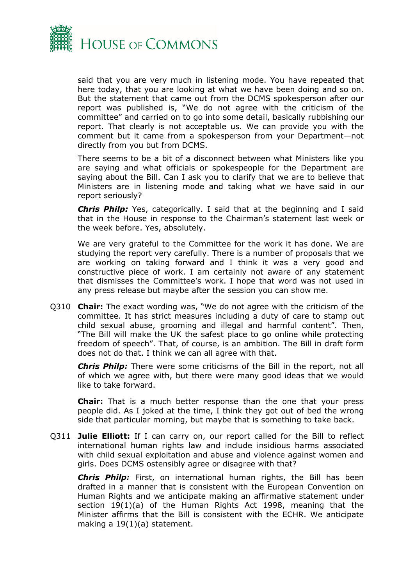

said that you are very much in listening mode. You have repeated that here today, that you are looking at what we have been doing and so on. But the statement that came out from the DCMS spokesperson after our report was published is, "We do not agree with the criticism of the committee" and carried on to go into some detail, basically rubbishing our report. That clearly is not acceptable us. We can provide you with the comment but it came from a spokesperson from your Department—not directly from you but from DCMS.

There seems to be a bit of a disconnect between what Ministers like you are saying and what officials or spokespeople for the Department are saying about the Bill. Can I ask you to clarify that we are to believe that Ministers are in listening mode and taking what we have said in our report seriously?

*Chris Philp:* Yes, categorically. I said that at the beginning and I said that in the House in response to the Chairman's statement last week or the week before. Yes, absolutely.

We are very grateful to the Committee for the work it has done. We are studying the report very carefully. There is a number of proposals that we are working on taking forward and I think it was a very good and constructive piece of work. I am certainly not aware of any statement that dismisses the Committee's work. I hope that word was not used in any press release but maybe after the session you can show me.

Q310 **Chair:** The exact wording was, "We do not agree with the criticism of the committee. It has strict measures including a duty of care to stamp out child sexual abuse, grooming and illegal and harmful content". Then, "The Bill will make the UK the safest place to go online while protecting freedom of speech". That, of course, is an ambition. The Bill in draft form does not do that. I think we can all agree with that.

*Chris Philp:* There were some criticisms of the Bill in the report, not all of which we agree with, but there were many good ideas that we would like to take forward.

**Chair:** That is a much better response than the one that your press people did. As I joked at the time, I think they got out of bed the wrong side that particular morning, but maybe that is something to take back.

Q311 **Julie Elliott:** If I can carry on, our report called for the Bill to reflect international human rights law and include insidious harms associated with child sexual exploitation and abuse and violence against women and girls. Does DCMS ostensibly agree or disagree with that?

*Chris Philp:* First, on international human rights, the Bill has been drafted in a manner that is consistent with the European Convention on Human Rights and we anticipate making an affirmative statement under section 19(1)(a) of the Human Rights Act 1998, meaning that the Minister affirms that the Bill is consistent with the ECHR. We anticipate making a 19(1)(a) statement.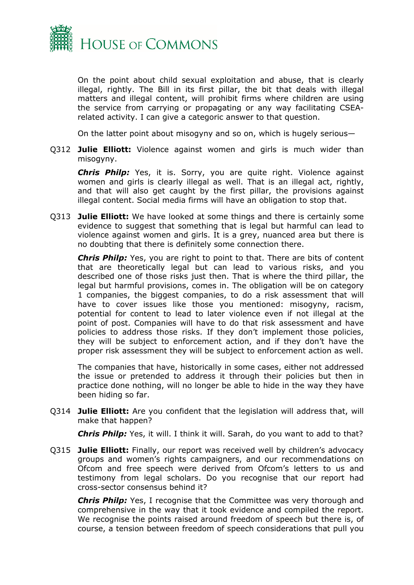

On the point about child sexual exploitation and abuse, that is clearly illegal, rightly. The Bill in its first pillar, the bit that deals with illegal matters and illegal content, will prohibit firms where children are using the service from carrying or propagating or any way facilitating CSEArelated activity. I can give a categoric answer to that question.

On the latter point about misogyny and so on, which is hugely serious—

Q312 **Julie Elliott:** Violence against women and girls is much wider than misogyny.

*Chris Philp:* Yes, it is. Sorry, you are quite right. Violence against women and girls is clearly illegal as well. That is an illegal act, rightly, and that will also get caught by the first pillar, the provisions against illegal content. Social media firms will have an obligation to stop that.

Q313 **Julie Elliott:** We have looked at some things and there is certainly some evidence to suggest that something that is legal but harmful can lead to violence against women and girls. It is a grey, nuanced area but there is no doubting that there is definitely some connection there.

*Chris Philp:* Yes, you are right to point to that. There are bits of content that are theoretically legal but can lead to various risks, and you described one of those risks just then. That is where the third pillar, the legal but harmful provisions, comes in. The obligation will be on category 1 companies, the biggest companies, to do a risk assessment that will have to cover issues like those you mentioned: misogyny, racism, potential for content to lead to later violence even if not illegal at the point of post. Companies will have to do that risk assessment and have policies to address those risks. If they don't implement those policies, they will be subject to enforcement action, and if they don't have the proper risk assessment they will be subject to enforcement action as well.

The companies that have, historically in some cases, either not addressed the issue or pretended to address it through their policies but then in practice done nothing, will no longer be able to hide in the way they have been hiding so far.

Q314 **Julie Elliott:** Are you confident that the legislation will address that, will make that happen?

*Chris Philp:* Yes, it will. I think it will. Sarah, do you want to add to that?

Q315 **Julie Elliott:** Finally, our report was received well by children's advocacy groups and women's rights campaigners, and our recommendations on Ofcom and free speech were derived from Ofcom's letters to us and testimony from legal scholars. Do you recognise that our report had cross-sector consensus behind it?

*Chris Philp:* Yes, I recognise that the Committee was very thorough and comprehensive in the way that it took evidence and compiled the report. We recognise the points raised around freedom of speech but there is, of course, a tension between freedom of speech considerations that pull you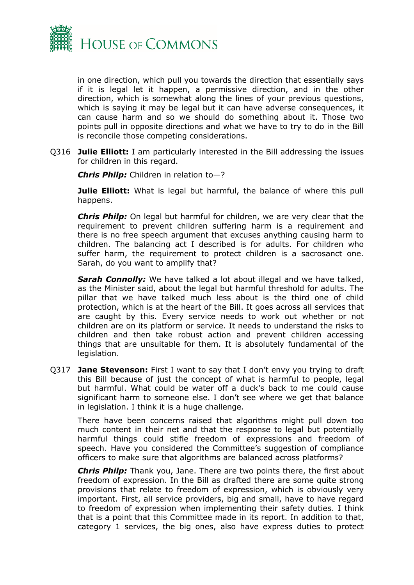

in one direction, which pull you towards the direction that essentially says if it is legal let it happen, a permissive direction, and in the other direction, which is somewhat along the lines of your previous questions, which is saying it may be legal but it can have adverse consequences, it can cause harm and so we should do something about it. Those two points pull in opposite directions and what we have to try to do in the Bill is reconcile those competing considerations.

Q316 **Julie Elliott:** I am particularly interested in the Bill addressing the issues for children in this regard.

*Chris Philp:* Children in relation to—?

**Julie Elliott:** What is legal but harmful, the balance of where this pull happens.

*Chris Philp:* On legal but harmful for children, we are very clear that the requirement to prevent children suffering harm is a requirement and there is no free speech argument that excuses anything causing harm to children. The balancing act I described is for adults. For children who suffer harm, the requirement to protect children is a sacrosanct one. Sarah, do you want to amplify that?

*Sarah Connolly:* We have talked a lot about illegal and we have talked, as the Minister said, about the legal but harmful threshold for adults. The pillar that we have talked much less about is the third one of child protection, which is at the heart of the Bill. It goes across all services that are caught by this. Every service needs to work out whether or not children are on its platform or service. It needs to understand the risks to children and then take robust action and prevent children accessing things that are unsuitable for them. It is absolutely fundamental of the legislation.

Q317 **Jane Stevenson:** First I want to say that I don't envy you trying to draft this Bill because of just the concept of what is harmful to people, legal but harmful. What could be water off a duck's back to me could cause significant harm to someone else. I don't see where we get that balance in legislation. I think it is a huge challenge.

There have been concerns raised that algorithms might pull down too much content in their net and that the response to legal but potentially harmful things could stifle freedom of expressions and freedom of speech. Have you considered the Committee's suggestion of compliance officers to make sure that algorithms are balanced across platforms?

*Chris Philp:* Thank you, Jane. There are two points there, the first about freedom of expression. In the Bill as drafted there are some quite strong provisions that relate to freedom of expression, which is obviously very important. First, all service providers, big and small, have to have regard to freedom of expression when implementing their safety duties. I think that is a point that this Committee made in its report. In addition to that, category 1 services, the big ones, also have express duties to protect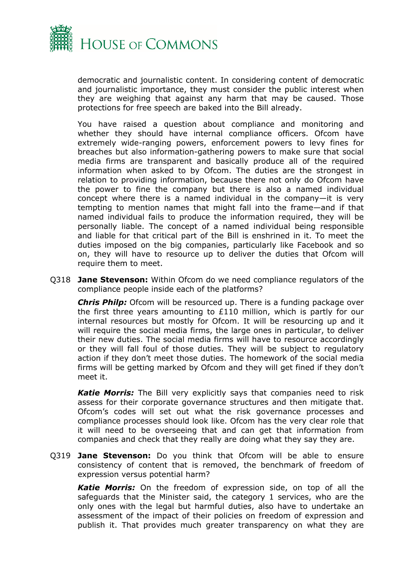

democratic and journalistic content. In considering content of democratic and journalistic importance, they must consider the public interest when they are weighing that against any harm that may be caused. Those protections for free speech are baked into the Bill already.

You have raised a question about compliance and monitoring and whether they should have internal compliance officers. Ofcom have extremely wide-ranging powers, enforcement powers to levy fines for breaches but also information-gathering powers to make sure that social media firms are transparent and basically produce all of the required information when asked to by Ofcom. The duties are the strongest in relation to providing information, because there not only do Ofcom have the power to fine the company but there is also a named individual concept where there is a named individual in the company—it is very tempting to mention names that might fall into the frame—and if that named individual fails to produce the information required, they will be personally liable. The concept of a named individual being responsible and liable for that critical part of the Bill is enshrined in it. To meet the duties imposed on the big companies, particularly like Facebook and so on, they will have to resource up to deliver the duties that Ofcom will require them to meet.

Q318 **Jane Stevenson:** Within Ofcom do we need compliance regulators of the compliance people inside each of the platforms?

*Chris Philp:* Ofcom will be resourced up. There is a funding package over the first three years amounting to £110 million, which is partly for our internal resources but mostly for Ofcom. It will be resourcing up and it will require the social media firms, the large ones in particular, to deliver their new duties. The social media firms will have to resource accordingly or they will fall foul of those duties. They will be subject to regulatory action if they don't meet those duties. The homework of the social media firms will be getting marked by Ofcom and they will get fined if they don't meet it.

*Katie Morris:* The Bill very explicitly says that companies need to risk assess for their corporate governance structures and then mitigate that. Ofcom's codes will set out what the risk governance processes and compliance processes should look like. Ofcom has the very clear role that it will need to be overseeing that and can get that information from companies and check that they really are doing what they say they are.

Q319 **Jane Stevenson:** Do you think that Ofcom will be able to ensure consistency of content that is removed, the benchmark of freedom of expression versus potential harm?

*Katie Morris:* On the freedom of expression side, on top of all the safeguards that the Minister said, the category 1 services, who are the only ones with the legal but harmful duties, also have to undertake an assessment of the impact of their policies on freedom of expression and publish it. That provides much greater transparency on what they are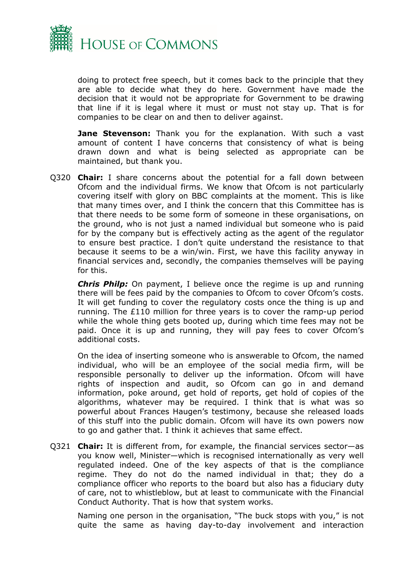

doing to protect free speech, but it comes back to the principle that they are able to decide what they do here. Government have made the decision that it would not be appropriate for Government to be drawing that line if it is legal where it must or must not stay up. That is for companies to be clear on and then to deliver against.

**Jane Stevenson:** Thank you for the explanation. With such a vast amount of content I have concerns that consistency of what is being drawn down and what is being selected as appropriate can be maintained, but thank you.

Q320 **Chair:** I share concerns about the potential for a fall down between Ofcom and the individual firms. We know that Ofcom is not particularly covering itself with glory on BBC complaints at the moment. This is like that many times over, and I think the concern that this Committee has is that there needs to be some form of someone in these organisations, on the ground, who is not just a named individual but someone who is paid for by the company but is effectively acting as the agent of the regulator to ensure best practice. I don't quite understand the resistance to that because it seems to be a win/win. First, we have this facility anyway in financial services and, secondly, the companies themselves will be paying for this.

*Chris Philp:* On payment, I believe once the regime is up and running there will be fees paid by the companies to Ofcom to cover Ofcom's costs. It will get funding to cover the regulatory costs once the thing is up and running. The £110 million for three years is to cover the ramp-up period while the whole thing gets booted up, during which time fees may not be paid. Once it is up and running, they will pay fees to cover Ofcom's additional costs.

On the idea of inserting someone who is answerable to Ofcom, the named individual, who will be an employee of the social media firm, will be responsible personally to deliver up the information. Ofcom will have rights of inspection and audit, so Ofcom can go in and demand information, poke around, get hold of reports, get hold of copies of the algorithms, whatever may be required. I think that is what was so powerful about Frances Haugen's testimony, because she released loads of this stuff into the public domain. Ofcom will have its own powers now to go and gather that. I think it achieves that same effect.

Q321 **Chair:** It is different from, for example, the financial services sector—as you know well, Minister—which is recognised internationally as very well regulated indeed. One of the key aspects of that is the compliance regime. They do not do the named individual in that; they do a compliance officer who reports to the board but also has a fiduciary duty of care, not to whistleblow, but at least to communicate with the Financial Conduct Authority. That is how that system works.

Naming one person in the organisation, "The buck stops with you," is not quite the same as having day-to-day involvement and interaction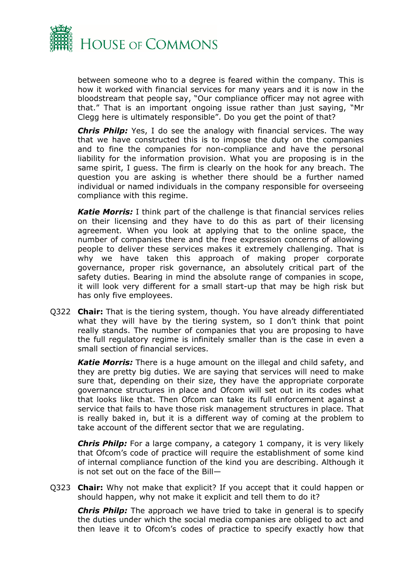

between someone who to a degree is feared within the company. This is how it worked with financial services for many years and it is now in the bloodstream that people say, "Our compliance officer may not agree with that." That is an important ongoing issue rather than just saying, "Mr Clegg here is ultimately responsible". Do you get the point of that?

*Chris Philp:* Yes, I do see the analogy with financial services. The way that we have constructed this is to impose the duty on the companies and to fine the companies for non-compliance and have the personal liability for the information provision. What you are proposing is in the same spirit, I guess. The firm is clearly on the hook for any breach. The question you are asking is whether there should be a further named individual or named individuals in the company responsible for overseeing compliance with this regime.

*Katie Morris:* I think part of the challenge is that financial services relies on their licensing and they have to do this as part of their licensing agreement. When you look at applying that to the online space, the number of companies there and the free expression concerns of allowing people to deliver these services makes it extremely challenging. That is why we have taken this approach of making proper corporate governance, proper risk governance, an absolutely critical part of the safety duties. Bearing in mind the absolute range of companies in scope, it will look very different for a small start-up that may be high risk but has only five employees.

Q322 **Chair:** That is the tiering system, though. You have already differentiated what they will have by the tiering system, so I don't think that point really stands. The number of companies that you are proposing to have the full regulatory regime is infinitely smaller than is the case in even a small section of financial services.

*Katie Morris:* There is a huge amount on the illegal and child safety, and they are pretty big duties. We are saying that services will need to make sure that, depending on their size, they have the appropriate corporate governance structures in place and Ofcom will set out in its codes what that looks like that. Then Ofcom can take its full enforcement against a service that fails to have those risk management structures in place. That is really baked in, but it is a different way of coming at the problem to take account of the different sector that we are regulating.

*Chris Philp:* For a large company, a category 1 company, it is very likely that Ofcom's code of practice will require the establishment of some kind of internal compliance function of the kind you are describing. Although it is not set out on the face of the Bill—

Q323 **Chair:** Why not make that explicit? If you accept that it could happen or should happen, why not make it explicit and tell them to do it?

*Chris Philp:* The approach we have tried to take in general is to specify the duties under which the social media companies are obliged to act and then leave it to Ofcom's codes of practice to specify exactly how that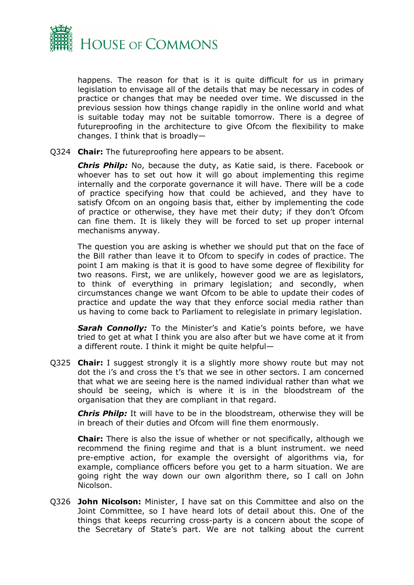

happens. The reason for that is it is quite difficult for us in primary legislation to envisage all of the details that may be necessary in codes of practice or changes that may be needed over time. We discussed in the previous session how things change rapidly in the online world and what is suitable today may not be suitable tomorrow. There is a degree of futureproofing in the architecture to give Ofcom the flexibility to make changes. I think that is broadly—

Q324 **Chair:** The futureproofing here appears to be absent.

*Chris Philp:* No, because the duty, as Katie said, is there. Facebook or whoever has to set out how it will go about implementing this regime internally and the corporate governance it will have. There will be a code of practice specifying how that could be achieved, and they have to satisfy Ofcom on an ongoing basis that, either by implementing the code of practice or otherwise, they have met their duty; if they don't Ofcom can fine them. It is likely they will be forced to set up proper internal mechanisms anyway.

The question you are asking is whether we should put that on the face of the Bill rather than leave it to Ofcom to specify in codes of practice. The point I am making is that it is good to have some degree of flexibility for two reasons. First, we are unlikely, however good we are as legislators, to think of everything in primary legislation; and secondly, when circumstances change we want Ofcom to be able to update their codes of practice and update the way that they enforce social media rather than us having to come back to Parliament to relegislate in primary legislation.

**Sarah Connolly:** To the Minister's and Katie's points before, we have tried to get at what I think you are also after but we have come at it from a different route. I think it might be quite helpful—

Q325 **Chair:** I suggest strongly it is a slightly more showy route but may not dot the i's and cross the t's that we see in other sectors. I am concerned that what we are seeing here is the named individual rather than what we should be seeing, which is where it is in the bloodstream of the organisation that they are compliant in that regard.

*Chris Philp:* It will have to be in the bloodstream, otherwise they will be in breach of their duties and Ofcom will fine them enormously.

**Chair:** There is also the issue of whether or not specifically, although we recommend the fining regime and that is a blunt instrument. we need pre-emptive action, for example the oversight of algorithms via, for example, compliance officers before you get to a harm situation. We are going right the way down our own algorithm there, so I call on John Nicolson.

Q326 **John Nicolson:** Minister, I have sat on this Committee and also on the Joint Committee, so I have heard lots of detail about this. One of the things that keeps recurring cross-party is a concern about the scope of the Secretary of State's part. We are not talking about the current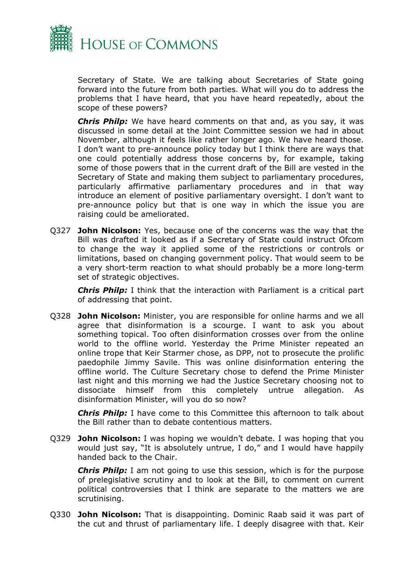

Secretary of State. We are talking about Secretaries of State going forward into the future from both parties. What will you do to address the problems that I have heard, that you have heard repeatedly, about the scope of these powers?

*Chris Philp:* We have heard comments on that and, as you say, it was discussed in some detail at the Joint Committee session we had in about November, although it feels like rather longer ago. We have heard those. I don't want to pre-announce policy today but I think there are ways that one could potentially address those concerns by, for example, taking some of those powers that in the current draft of the Bill are vested in the Secretary of State and making them subject to parliamentary procedures, particularly affirmative parliamentary procedures and in that way introduce an element of positive parliamentary oversight. I don't want to pre-announce policy but that is one way in which the issue you are raising could be ameliorated.

Q327 **John Nicolson:** Yes, because one of the concerns was the way that the Bill was drafted it looked as if a Secretary of State could instruct Ofcom to change the way it applied some of the restrictions or controls or limitations, based on changing government policy. That would seem to be a very short-term reaction to what should probably be a more long-term set of strategic objectives.

*Chris Philp:* I think that the interaction with Parliament is a critical part of addressing that point.

Q328 **John Nicolson:** Minister, you are responsible for online harms and we all agree that disinformation is a scourge. I want to ask you about something topical. Too often disinformation crosses over from the online world to the offline world. Yesterday the Prime Minister repeated an online trope that Keir Starmer chose, as DPP, not to prosecute the prolific paedophile Jimmy Savile. This was online disinformation entering the offline world. The Culture Secretary chose to defend the Prime Minister last night and this morning we had the Justice Secretary choosing not to dissociate himself from this completely untrue allegation. As disinformation Minister, will you do so now?

*Chris Philp:* I have come to this Committee this afternoon to talk about the Bill rather than to debate contentious matters.

Q329 **John Nicolson:** I was hoping we wouldn't debate. I was hoping that you would just say, "It is absolutely untrue, I do," and I would have happily handed back to the Chair.

**Chris Philp:** I am not going to use this session, which is for the purpose of prelegislative scrutiny and to look at the Bill, to comment on current political controversies that I think are separate to the matters we are scrutinising.

Q330 **John Nicolson:** That is disappointing. Dominic Raab said it was part of the cut and thrust of parliamentary life. I deeply disagree with that. Keir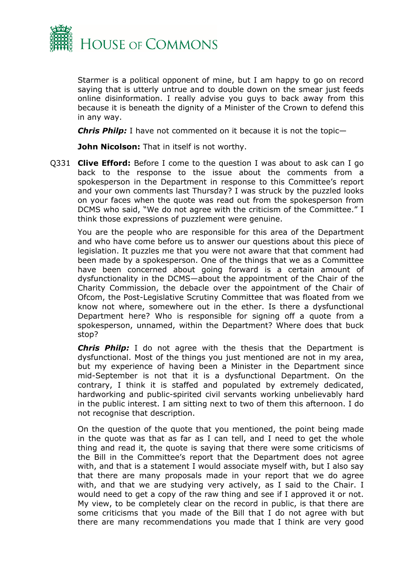

Starmer is a political opponent of mine, but I am happy to go on record saying that is utterly untrue and to double down on the smear just feeds online disinformation. I really advise you guys to back away from this because it is beneath the dignity of a Minister of the Crown to defend this in any way.

*Chris Philp:* I have not commented on it because it is not the topic—

**John Nicolson:** That in itself is not worthy.

Q331 **Clive Efford:** Before I come to the question I was about to ask can I go back to the response to the issue about the comments from a spokesperson in the Department in response to this Committee's report and your own comments last Thursday? I was struck by the puzzled looks on your faces when the quote was read out from the spokesperson from DCMS who said, "We do not agree with the criticism of the Committee." I think those expressions of puzzlement were genuine.

You are the people who are responsible for this area of the Department and who have come before us to answer our questions about this piece of legislation. It puzzles me that you were not aware that that comment had been made by a spokesperson. One of the things that we as a Committee have been concerned about going forward is a certain amount of dysfunctionality in the DCMS—about the appointment of the Chair of the Charity Commission, the debacle over the appointment of the Chair of Ofcom, the Post-Legislative Scrutiny Committee that was floated from we know not where, somewhere out in the ether. Is there a dysfunctional Department here? Who is responsible for signing off a quote from a spokesperson, unnamed, within the Department? Where does that buck stop?

*Chris Philp:* I do not agree with the thesis that the Department is dysfunctional. Most of the things you just mentioned are not in my area, but my experience of having been a Minister in the Department since mid-September is not that it is a dysfunctional Department. On the contrary, I think it is staffed and populated by extremely dedicated, hardworking and public-spirited civil servants working unbelievably hard in the public interest. I am sitting next to two of them this afternoon. I do not recognise that description.

On the question of the quote that you mentioned, the point being made in the quote was that as far as I can tell, and I need to get the whole thing and read it, the quote is saying that there were some criticisms of the Bill in the Committee's report that the Department does not agree with, and that is a statement I would associate myself with, but I also say that there are many proposals made in your report that we do agree with, and that we are studying very actively, as I said to the Chair. I would need to get a copy of the raw thing and see if I approved it or not. My view, to be completely clear on the record in public, is that there are some criticisms that you made of the Bill that I do not agree with but there are many recommendations you made that I think are very good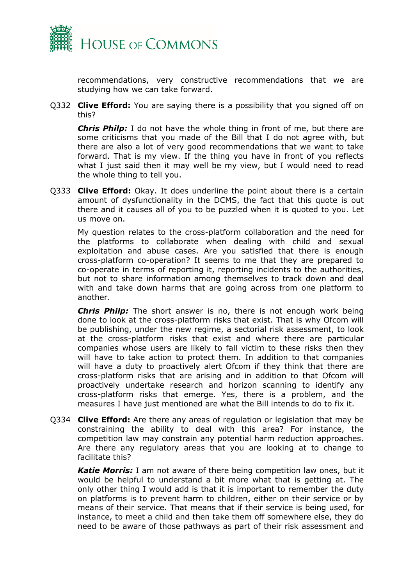

recommendations, very constructive recommendations that we are studying how we can take forward.

Q332 **Clive Efford:** You are saying there is a possibility that you signed off on this?

*Chris Philp:* I do not have the whole thing in front of me, but there are some criticisms that you made of the Bill that I do not agree with, but there are also a lot of very good recommendations that we want to take forward. That is my view. If the thing you have in front of you reflects what I just said then it may well be my view, but I would need to read the whole thing to tell you.

Q333 **Clive Efford:** Okay. It does underline the point about there is a certain amount of dysfunctionality in the DCMS, the fact that this quote is out there and it causes all of you to be puzzled when it is quoted to you. Let us move on.

My question relates to the cross-platform collaboration and the need for the platforms to collaborate when dealing with child and sexual exploitation and abuse cases. Are you satisfied that there is enough cross-platform co-operation? It seems to me that they are prepared to co-operate in terms of reporting it, reporting incidents to the authorities, but not to share information among themselves to track down and deal with and take down harms that are going across from one platform to another.

*Chris Philp:* The short answer is no, there is not enough work being done to look at the cross-platform risks that exist. That is why Ofcom will be publishing, under the new regime, a sectorial risk assessment, to look at the cross-platform risks that exist and where there are particular companies whose users are likely to fall victim to these risks then they will have to take action to protect them. In addition to that companies will have a duty to proactively alert Ofcom if they think that there are cross-platform risks that are arising and in addition to that Ofcom will proactively undertake research and horizon scanning to identify any cross-platform risks that emerge. Yes, there is a problem, and the measures I have just mentioned are what the Bill intends to do to fix it.

Q334 **Clive Efford:** Are there any areas of regulation or legislation that may be constraining the ability to deal with this area? For instance, the competition law may constrain any potential harm reduction approaches. Are there any regulatory areas that you are looking at to change to facilitate this?

*Katie Morris:* I am not aware of there being competition law ones, but it would be helpful to understand a bit more what that is getting at. The only other thing I would add is that it is important to remember the duty on platforms is to prevent harm to children, either on their service or by means of their service. That means that if their service is being used, for instance, to meet a child and then take them off somewhere else, they do need to be aware of those pathways as part of their risk assessment and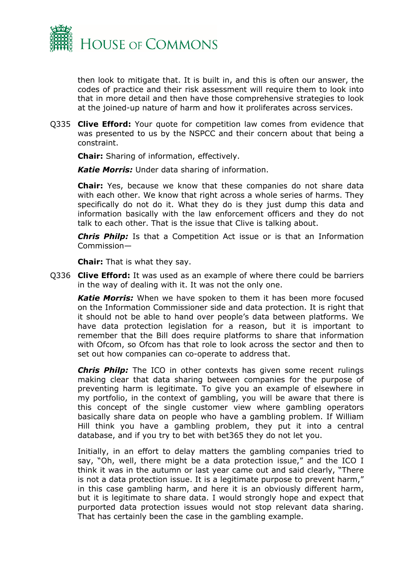

then look to mitigate that. It is built in, and this is often our answer, the codes of practice and their risk assessment will require them to look into that in more detail and then have those comprehensive strategies to look at the joined-up nature of harm and how it proliferates across services.

Q335 **Clive Efford:** Your quote for competition law comes from evidence that was presented to us by the NSPCC and their concern about that being a constraint.

**Chair:** Sharing of information, effectively.

*Katie Morris:* Under data sharing of information.

**Chair:** Yes, because we know that these companies do not share data with each other. We know that right across a whole series of harms. They specifically do not do it. What they do is they just dump this data and information basically with the law enforcement officers and they do not talk to each other. That is the issue that Clive is talking about.

*Chris Philp:* Is that a Competition Act issue or is that an Information Commission—

**Chair:** That is what they say.

Q336 **Clive Efford:** It was used as an example of where there could be barriers in the way of dealing with it. It was not the only one.

*Katie Morris:* When we have spoken to them it has been more focused on the Information Commissioner side and data protection. It is right that it should not be able to hand over people's data between platforms. We have data protection legislation for a reason, but it is important to remember that the Bill does require platforms to share that information with Ofcom, so Ofcom has that role to look across the sector and then to set out how companies can co-operate to address that.

*Chris Philp:* The ICO in other contexts has given some recent rulings making clear that data sharing between companies for the purpose of preventing harm is legitimate. To give you an example of elsewhere in my portfolio, in the context of gambling, you will be aware that there is this concept of the single customer view where gambling operators basically share data on people who have a gambling problem. If William Hill think you have a gambling problem, they put it into a central database, and if you try to bet with bet365 they do not let you.

Initially, in an effort to delay matters the gambling companies tried to say, "Oh, well, there might be a data protection issue," and the ICO I think it was in the autumn or last year came out and said clearly, "There is not a data protection issue. It is a legitimate purpose to prevent harm," in this case gambling harm, and here it is an obviously different harm, but it is legitimate to share data. I would strongly hope and expect that purported data protection issues would not stop relevant data sharing. That has certainly been the case in the gambling example.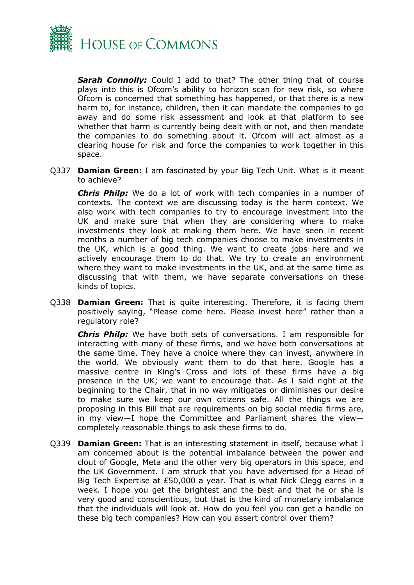

*Sarah Connolly:* Could I add to that? The other thing that of course plays into this is Ofcom's ability to horizon scan for new risk, so where Ofcom is concerned that something has happened, or that there is a new harm to, for instance, children, then it can mandate the companies to go away and do some risk assessment and look at that platform to see whether that harm is currently being dealt with or not, and then mandate the companies to do something about it. Ofcom will act almost as a clearing house for risk and force the companies to work together in this space.

Q337 **Damian Green:** I am fascinated by your Big Tech Unit. What is it meant to achieve?

*Chris Philp:* We do a lot of work with tech companies in a number of contexts. The context we are discussing today is the harm context. We also work with tech companies to try to encourage investment into the UK and make sure that when they are considering where to make investments they look at making them here. We have seen in recent months a number of big tech companies choose to make investments in the UK, which is a good thing. We want to create jobs here and we actively encourage them to do that. We try to create an environment where they want to make investments in the UK, and at the same time as discussing that with them, we have separate conversations on these kinds of topics.

Q338 **Damian Green:** That is quite interesting. Therefore, it is facing them positively saying, "Please come here. Please invest here" rather than a regulatory role?

*Chris Philp:* We have both sets of conversations. I am responsible for interacting with many of these firms, and we have both conversations at the same time. They have a choice where they can invest, anywhere in the world. We obviously want them to do that here. Google has a massive centre in King's Cross and lots of these firms have a big presence in the UK; we want to encourage that. As I said right at the beginning to the Chair, that in no way mitigates or diminishes our desire to make sure we keep our own citizens safe. All the things we are proposing in this Bill that are requirements on big social media firms are, in my view—I hope the Committee and Parliament shares the view completely reasonable things to ask these firms to do.

Q339 **Damian Green:** That is an interesting statement in itself, because what I am concerned about is the potential imbalance between the power and clout of Google, Meta and the other very big operators in this space, and the UK Government. I am struck that you have advertised for a Head of Big Tech Expertise at £50,000 a year. That is what Nick Clegg earns in a week. I hope you get the brightest and the best and that he or she is very good and conscientious, but that is the kind of monetary imbalance that the individuals will look at. How do you feel you can get a handle on these big tech companies? How can you assert control over them?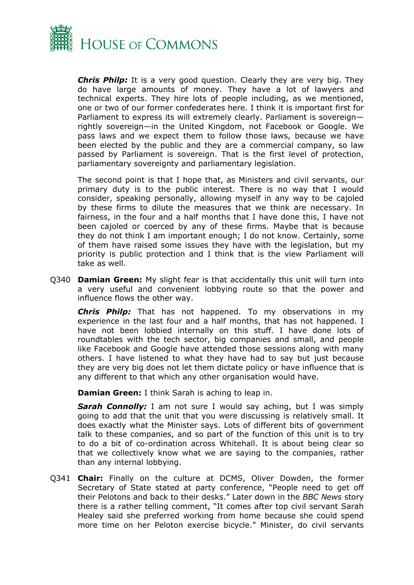

*Chris Philp:* It is a very good question. Clearly they are very big. They do have large amounts of money. They have a lot of lawyers and technical experts. They hire lots of people including, as we mentioned, one or two of our former confederates here. I think it is important first for Parliament to express its will extremely clearly. Parliament is sovereign rightly sovereign—in the United Kingdom, not Facebook or Google. We pass laws and we expect them to follow those laws, because we have been elected by the public and they are a commercial company, so law passed by Parliament is sovereign. That is the first level of protection, parliamentary sovereignty and parliamentary legislation.

The second point is that I hope that, as Ministers and civil servants, our primary duty is to the public interest. There is no way that I would consider, speaking personally, allowing myself in any way to be cajoled by these firms to dilute the measures that we think are necessary. In fairness, in the four and a half months that I have done this, I have not been cajoled or coerced by any of these firms. Maybe that is because they do not think I am important enough; I do not know. Certainly, some of them have raised some issues they have with the legislation, but my priority is public protection and I think that is the view Parliament will take as well.

Q340 **Damian Green:** My slight fear is that accidentally this unit will turn into a very useful and convenient lobbying route so that the power and influence flows the other way.

*Chris Philp:* That has not happened. To my observations in my experience in the last four and a half months, that has not happened. I have not been lobbied internally on this stuff. I have done lots of roundtables with the tech sector, big companies and small, and people like Facebook and Google have attended those sessions along with many others. I have listened to what they have had to say but just because they are very big does not let them dictate policy or have influence that is any different to that which any other organisation would have.

**Damian Green:** I think Sarah is aching to leap in.

*Sarah Connolly:* I am not sure I would say aching, but I was simply going to add that the unit that you were discussing is relatively small. It does exactly what the Minister says. Lots of different bits of government talk to these companies, and so part of the function of this unit is to try to do a bit of co-ordination across Whitehall. It is about being clear so that we collectively know what we are saying to the companies, rather than any internal lobbying.

Q341 **Chair:** Finally on the culture at DCMS, Oliver Dowden, the former Secretary of State stated at party conference, "People need to get off their Pelotons and back to their desks." Later down in the *BBC News* story there is a rather telling comment, "It comes after top civil servant Sarah Healey said she preferred working from home because she could spend more time on her Peloton exercise bicycle." Minister, do civil servants